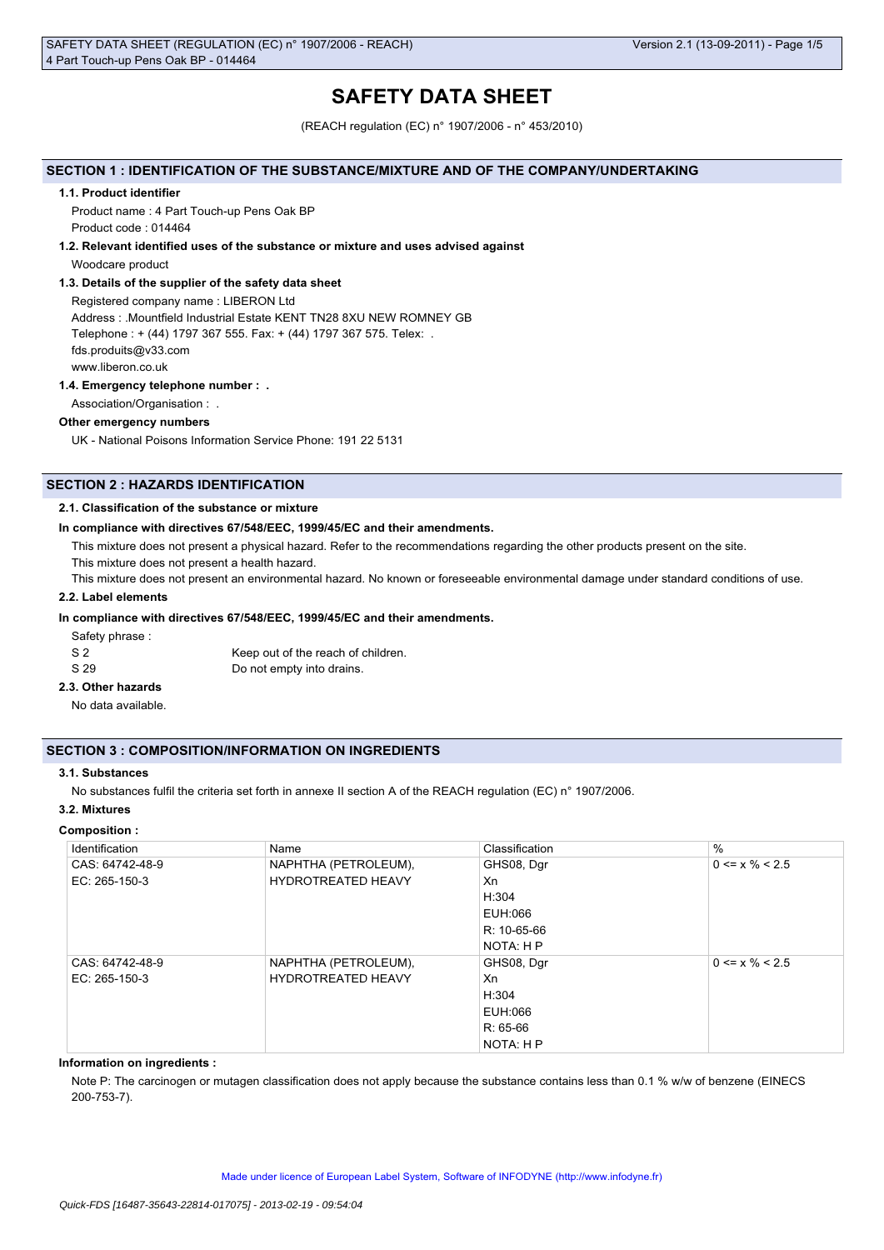# **SAFETY DATA SHEET**

(REACH regulation (EC) n° 1907/2006 - n° 453/2010)

# **SECTION 1 : IDENTIFICATION OF THE SUBSTANCE/MIXTURE AND OF THE COMPANY/UNDERTAKING**

#### **1.1. Product identifier**

Product name : 4 Part Touch-up Pens Oak BP Product code : 014464

### **1.2. Relevant identified uses of the substance or mixture and uses advised against**

Woodcare product

# **1.3. Details of the supplier of the safety data sheet**

Registered company name : LIBERON Ltd Address : .Mountfield Industrial Estate KENT TN28 8XU NEW ROMNEY GB Telephone : + (44) 1797 367 555. Fax: + (44) 1797 367 575. Telex: . fds.produits@v33.com www.liberon.co.uk

### **1.4. Emergency telephone number : .**

Association/Organisation : .

# **Other emergency numbers**

UK - National Poisons Information Service Phone: 191 22 5131

# **SECTION 2 : HAZARDS IDENTIFICATION**

# **2.1. Classification of the substance or mixture**

### **In compliance with directives 67/548/EEC, 1999/45/EC and their amendments.**

This mixture does not present a physical hazard. Refer to the recommendations regarding the other products present on the site.

This mixture does not present a health hazard.

This mixture does not present an environmental hazard. No known or foreseeable environmental damage under standard conditions of use.

# **2.2. Label elements**

# **In compliance with directives 67/548/EEC, 1999/45/EC and their amendments.**

Safety phrase :

| - S 2 | Keep out of the reach of children. |
|-------|------------------------------------|
| S 29  | Do not empty into drains.          |

# **2.3. Other hazards**

No data available.

# **SECTION 3 : COMPOSITION/INFORMATION ON INGREDIENTS**

# **3.1. Substances**

No substances fulfil the criteria set forth in annexe II section A of the REACH regulation (EC) n° 1907/2006.

### **3.2. Mixtures**

#### **Composition :**

| Identification  | Name                      | Classification | $\frac{0}{0}$        |
|-----------------|---------------------------|----------------|----------------------|
| CAS: 64742-48-9 | NAPHTHA (PETROLEUM),      | GHS08, Dgr     | $0 \le x \% \le 2.5$ |
| EC: 265-150-3   | <b>HYDROTREATED HEAVY</b> | Xn             |                      |
|                 |                           | H:304          |                      |
|                 |                           | EUH:066        |                      |
|                 |                           | R: 10-65-66    |                      |
|                 |                           | NOTA: H P      |                      |
| CAS: 64742-48-9 | NAPHTHA (PETROLEUM),      | GHS08, Dgr     | $0 \le x \% \le 2.5$ |
| $EC: 265-150-3$ | <b>HYDROTREATED HEAVY</b> | Xn             |                      |
|                 |                           | H:304          |                      |
|                 |                           | EUH:066        |                      |
|                 |                           | $R: 65-66$     |                      |
|                 |                           | NOTA: H P      |                      |

# **Information on ingredients :**

Note P: The carcinogen or mutagen classification does not apply because the substance contains less than 0.1 % w/w of benzene (EINECS 200-753-7).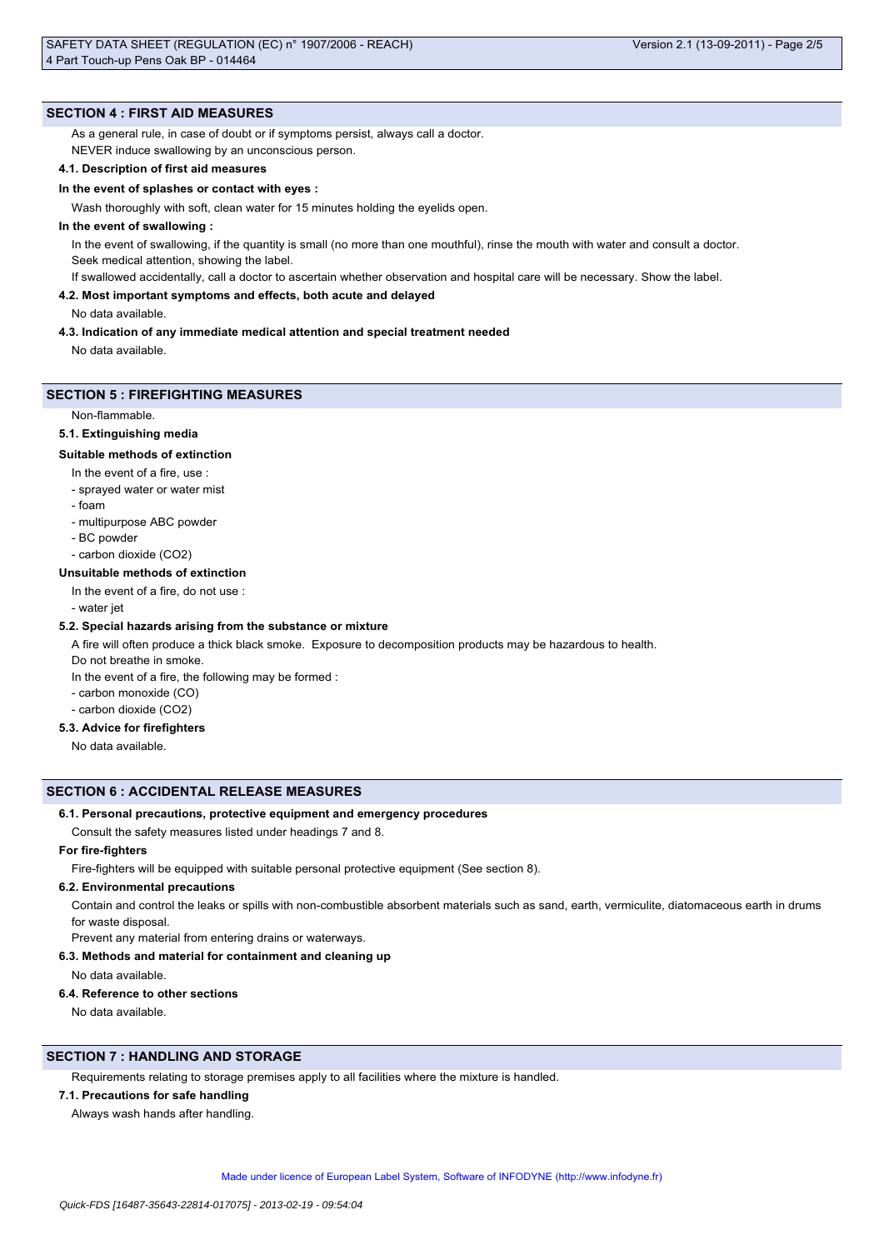# **SECTION 4 : FIRST AID MEASURES**

As a general rule, in case of doubt or if symptoms persist, always call a doctor.

NEVER induce swallowing by an unconscious person.

# **4.1. Description of first aid measures**

## **In the event of splashes or contact with eyes :**

Wash thoroughly with soft, clean water for 15 minutes holding the eyelids open.

# **In the event of swallowing :**

In the event of swallowing, if the quantity is small (no more than one mouthful), rinse the mouth with water and consult a doctor. Seek medical attention, showing the label.

If swallowed accidentally, call a doctor to ascertain whether observation and hospital care will be necessary. Show the label.

### **4.2. Most important symptoms and effects, both acute and delayed**

No data available.

### **4.3. Indication of any immediate medical attention and special treatment needed**

No data available.

# **SECTION 5 : FIREFIGHTING MEASURES**

Non-flammable.

## **5.1. Extinguishing media**

### **Suitable methods of extinction**

- In the event of a fire, use :
- sprayed water or water mist
- foam
- multipurpose ABC powder
- BC powder
- carbon dioxide (CO2)

### **Unsuitable methods of extinction**

- In the event of a fire, do not use :
- water jet

# **5.2. Special hazards arising from the substance or mixture**

A fire will often produce a thick black smoke. Exposure to decomposition products may be hazardous to health.

Do not breathe in smoke.

- In the event of a fire, the following may be formed :
- carbon monoxide (CO)
- carbon dioxide (CO2)

# **5.3. Advice for firefighters**

No data available.

### **SECTION 6 : ACCIDENTAL RELEASE MEASURES**

### **6.1. Personal precautions, protective equipment and emergency procedures**

Consult the safety measures listed under headings 7 and 8.

# **For fire-fighters**

Fire-fighters will be equipped with suitable personal protective equipment (See section 8).

### **6.2. Environmental precautions**

Contain and control the leaks or spills with non-combustible absorbent materials such as sand, earth, vermiculite, diatomaceous earth in drums for waste disposal.

# Prevent any material from entering drains or waterways.

**6.3. Methods and material for containment and cleaning up**

No data available.

### **6.4. Reference to other sections**

No data available.

# **SECTION 7 : HANDLING AND STORAGE**

Requirements relating to storage premises apply to all facilities where the mixture is handled.

# **7.1. Precautions for safe handling**

Always wash hands after handling.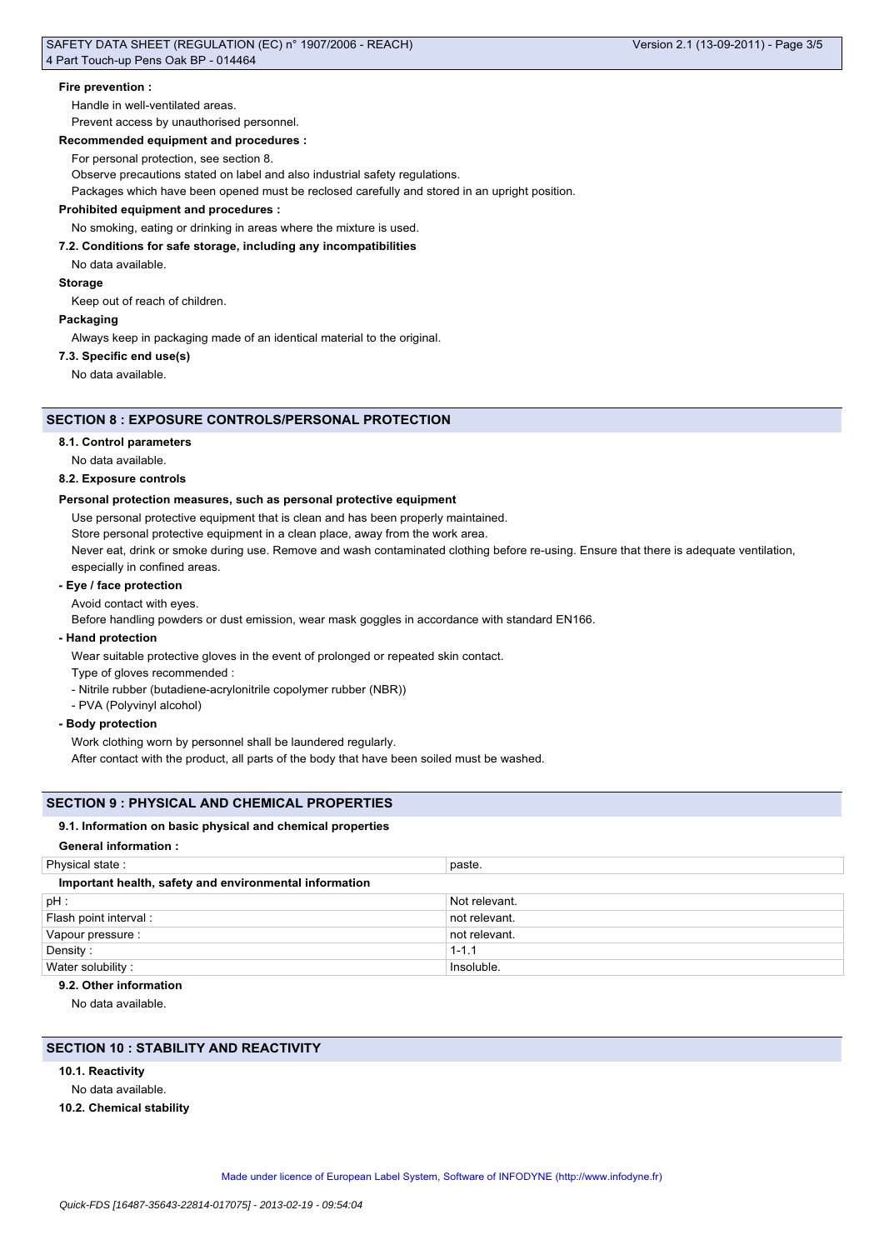# **Fire prevention :**

Handle in well-ventilated areas.

Prevent access by unauthorised personnel.

### **Recommended equipment and procedures :**

For personal protection, see section 8.

Observe precautions stated on label and also industrial safety regulations.

Packages which have been opened must be reclosed carefully and stored in an upright position.

# **Prohibited equipment and procedures :**

No smoking, eating or drinking in areas where the mixture is used.

### **7.2. Conditions for safe storage, including any incompatibilities**

No data available.

**Storage**

Keep out of reach of children.

# **Packaging**

Always keep in packaging made of an identical material to the original.

#### **7.3. Specific end use(s)**

No data available.

# **SECTION 8 : EXPOSURE CONTROLS/PERSONAL PROTECTION**

#### **8.1. Control parameters**

No data available.

# **8.2. Exposure controls**

### **Personal protection measures, such as personal protective equipment**

Use personal protective equipment that is clean and has been properly maintained.

Store personal protective equipment in a clean place, away from the work area.

Never eat, drink or smoke during use. Remove and wash contaminated clothing before re-using. Ensure that there is adequate ventilation, especially in confined areas.

# **- Eye / face protection**

Avoid contact with eyes.

Before handling powders or dust emission, wear mask goggles in accordance with standard EN166.

# **- Hand protection**

Wear suitable protective gloves in the event of prolonged or repeated skin contact.

- Type of gloves recommended :
- Nitrile rubber (butadiene-acrylonitrile copolymer rubber (NBR))
- PVA (Polyvinyl alcohol)

# **- Body protection**

Work clothing worn by personnel shall be laundered regularly.

After contact with the product, all parts of the body that have been soiled must be washed.

# **SECTION 9 : PHYSICAL AND CHEMICAL PROPERTIES**

### **9.1. Information on basic physical and chemical properties**

### **General information :**

| Physical state:                                        | paste.        |  |
|--------------------------------------------------------|---------------|--|
| Important health, safety and environmental information |               |  |
| $pH$ :                                                 | Not relevant. |  |
| Flash point interval:                                  | not relevant. |  |
| Vapour pressure :                                      | not relevant. |  |
| Density:                                               | $1 - 1.1$     |  |
| Water solubility:                                      | Insoluble.    |  |

#### **9.2. Other information**

No data available.

# **SECTION 10 : STABILITY AND REACTIVITY**

- **10.1. Reactivity**
- No data available.
- **10.2. Chemical stability**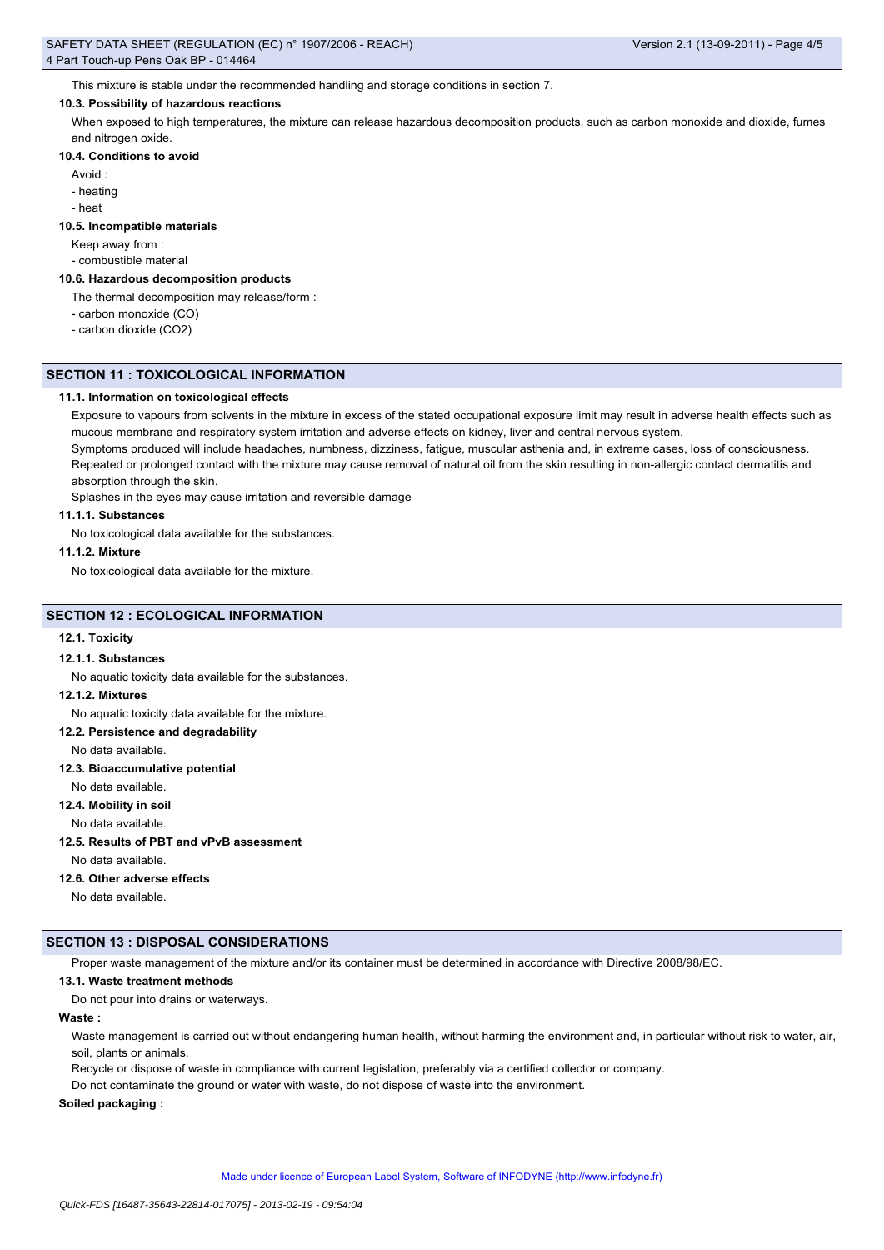This mixture is stable under the recommended handling and storage conditions in section 7.

### **10.3. Possibility of hazardous reactions**

When exposed to high temperatures, the mixture can release hazardous decomposition products, such as carbon monoxide and dioxide, fumes and nitrogen oxide.

## **10.4. Conditions to avoid**

- Avoid :
- heating
- heat

### **10.5. Incompatible materials**

Keep away from :

- combustible material

# **10.6. Hazardous decomposition products**

The thermal decomposition may release/form :

- carbon monoxide (CO)
- carbon dioxide (CO2)

### **SECTION 11 : TOXICOLOGICAL INFORMATION**

### **11.1. Information on toxicological effects**

Exposure to vapours from solvents in the mixture in excess of the stated occupational exposure limit may result in adverse health effects such as mucous membrane and respiratory system irritation and adverse effects on kidney, liver and central nervous system.

Symptoms produced will include headaches, numbness, dizziness, fatigue, muscular asthenia and, in extreme cases, loss of consciousness. Repeated or prolonged contact with the mixture may cause removal of natural oil from the skin resulting in non-allergic contact dermatitis and absorption through the skin.

Splashes in the eyes may cause irritation and reversible damage

# **11.1.1. Substances**

No toxicological data available for the substances.

#### **11.1.2. Mixture**

No toxicological data available for the mixture.

# **SECTION 12 : ECOLOGICAL INFORMATION**

# **12.1. Toxicity**

## **12.1.1. Substances**

No aquatic toxicity data available for the substances.

# **12.1.2. Mixtures**

No aquatic toxicity data available for the mixture.

#### **12.2. Persistence and degradability**

No data available.

### **12.3. Bioaccumulative potential**

No data available.

**12.4. Mobility in soil**

No data available.

# **12.5. Results of PBT and vPvB assessment**

No data available.

#### **12.6. Other adverse effects**

No data available.

# **SECTION 13 : DISPOSAL CONSIDERATIONS**

Proper waste management of the mixture and/or its container must be determined in accordance with Directive 2008/98/EC.

## **13.1. Waste treatment methods**

Do not pour into drains or waterways.

# **Waste :**

Waste management is carried out without endangering human health, without harming the environment and, in particular without risk to water, air, soil, plants or animals.

Recycle or dispose of waste in compliance with current legislation, preferably via a certified collector or company.

Do not contaminate the ground or water with waste, do not dispose of waste into the environment.

# **Soiled packaging :**